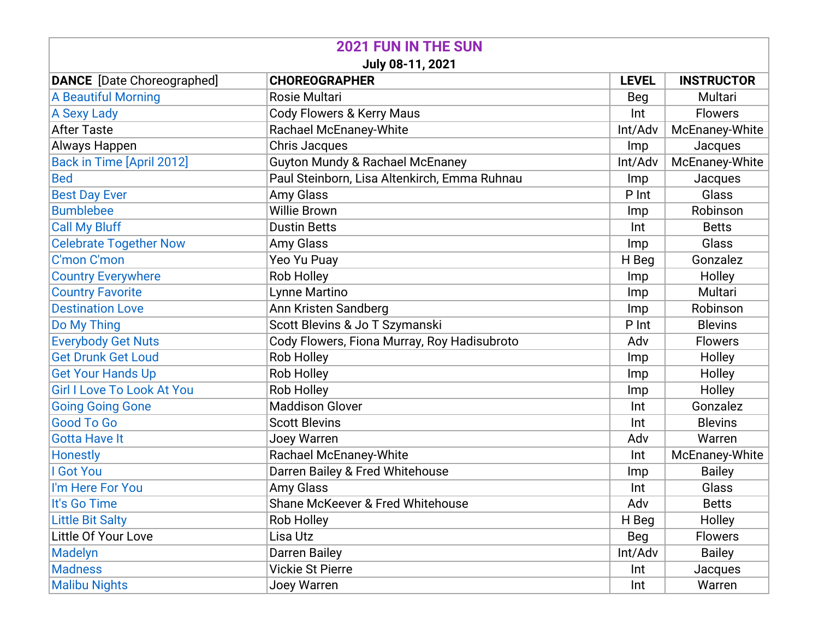| <b>2021 FUN IN THE SUN</b>        |                                              |              |                   |  |  |
|-----------------------------------|----------------------------------------------|--------------|-------------------|--|--|
| July 08-11, 2021                  |                                              |              |                   |  |  |
| <b>DANCE</b> [Date Choreographed] | <b>CHOREOGRAPHER</b>                         | <b>LEVEL</b> | <b>INSTRUCTOR</b> |  |  |
| <b>A Beautiful Morning</b>        | Rosie Multari                                | Beg          | Multari           |  |  |
| <b>A Sexy Lady</b>                | <b>Cody Flowers &amp; Kerry Maus</b>         | Int          | <b>Flowers</b>    |  |  |
| <b>After Taste</b>                | Rachael McEnaney-White                       | Int/Adv      | McEnaney-White    |  |  |
| Always Happen                     | <b>Chris Jacques</b>                         | Imp          | Jacques           |  |  |
| Back in Time [April 2012]         | <b>Guyton Mundy &amp; Rachael McEnaney</b>   | Int/Adv      | McEnaney-White    |  |  |
| <b>Bed</b>                        | Paul Steinborn, Lisa Altenkirch, Emma Ruhnau | <b>Imp</b>   | Jacques           |  |  |
| <b>Best Day Ever</b>              | <b>Amy Glass</b>                             | P Int        | Glass             |  |  |
| <b>Bumblebee</b>                  | <b>Willie Brown</b>                          | Imp          | Robinson          |  |  |
| <b>Call My Bluff</b>              | <b>Dustin Betts</b>                          | Int          | <b>Betts</b>      |  |  |
| <b>Celebrate Together Now</b>     | <b>Amy Glass</b>                             | <b>Imp</b>   | Glass             |  |  |
| C'mon C'mon                       | Yeo Yu Puay                                  | H Beg        | Gonzalez          |  |  |
| <b>Country Everywhere</b>         | Rob Holley                                   | Imp          | Holley            |  |  |
| <b>Country Favorite</b>           | Lynne Martino                                | Imp          | Multari           |  |  |
| <b>Destination Love</b>           | Ann Kristen Sandberg                         | <b>Imp</b>   | Robinson          |  |  |
| Do My Thing                       | Scott Blevins & Jo T Szymanski               | P Int        | <b>Blevins</b>    |  |  |
| <b>Everybody Get Nuts</b>         | Cody Flowers, Fiona Murray, Roy Hadisubroto  | Adv          | <b>Flowers</b>    |  |  |
| <b>Get Drunk Get Loud</b>         | Rob Holley                                   | Imp          | Holley            |  |  |
| <b>Get Your Hands Up</b>          | Rob Holley                                   | Imp          | Holley            |  |  |
| <b>Girl I Love To Look At You</b> | Rob Holley                                   | Imp          | Holley            |  |  |
| <b>Going Going Gone</b>           | <b>Maddison Glover</b>                       | Int          | Gonzalez          |  |  |
| <b>Good To Go</b>                 | <b>Scott Blevins</b>                         | Int          | <b>Blevins</b>    |  |  |
| <b>Gotta Have It</b>              | Joey Warren                                  | Adv          | Warren            |  |  |
| <b>Honestly</b>                   | Rachael McEnaney-White                       | Int          | McEnaney-White    |  |  |
| I Got You                         | Darren Bailey & Fred Whitehouse              | Imp          | <b>Bailey</b>     |  |  |
| I'm Here For You                  | Amy Glass                                    | Int          | Glass             |  |  |
| It's Go Time                      | Shane McKeever & Fred Whitehouse             | Adv          | <b>Betts</b>      |  |  |
| <b>Little Bit Salty</b>           | Rob Holley                                   | H Beg        | Holley            |  |  |
| Little Of Your Love               | Lisa Utz                                     | Beg          | <b>Flowers</b>    |  |  |
| Madelyn                           | Darren Bailey                                | Int/Adv      | <b>Bailey</b>     |  |  |
| <b>Madness</b>                    | <b>Vickie St Pierre</b>                      | Int          | Jacques           |  |  |
| <b>Malibu Nights</b>              | Joey Warren                                  | Int          | Warren            |  |  |